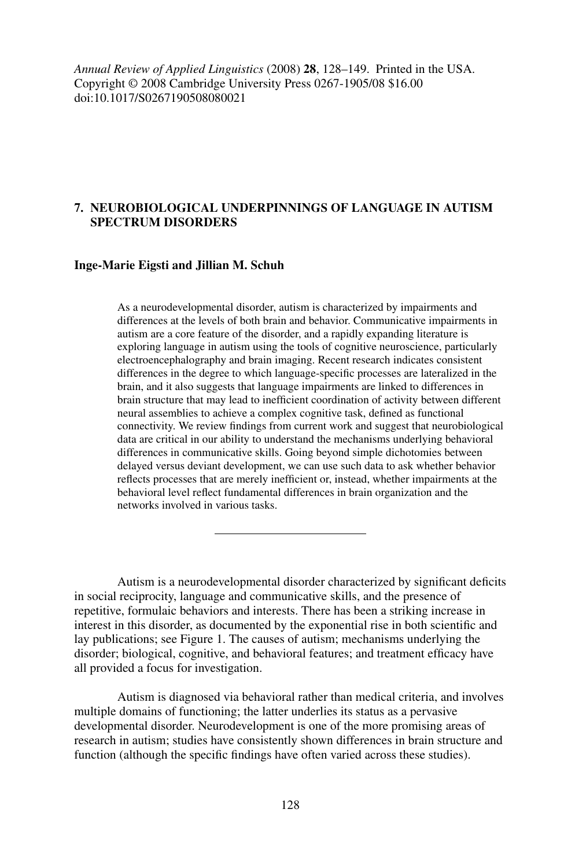*Annual Review of Applied Linguistics* (2008) **28**, 128–149. Printed in the USA. Copyright © 2008 Cambridge University Press 0267-1905/08 \$16.00 doi:10.1017/S0267190508080021

# **7. NEUROBIOLOGICAL UNDERPINNINGS OF LANGUAGE IN AUTISM SPECTRUM DISORDERS**

## **Inge-Marie Eigsti and Jillian M. Schuh**

As a neurodevelopmental disorder, autism is characterized by impairments and differences at the levels of both brain and behavior. Communicative impairments in autism are a core feature of the disorder, and a rapidly expanding literature is exploring language in autism using the tools of cognitive neuroscience, particularly electroencephalography and brain imaging. Recent research indicates consistent differences in the degree to which language-specific processes are lateralized in the brain, and it also suggests that language impairments are linked to differences in brain structure that may lead to inefficient coordination of activity between different neural assemblies to achieve a complex cognitive task, defined as functional connectivity. We review findings from current work and suggest that neurobiological data are critical in our ability to understand the mechanisms underlying behavioral differences in communicative skills. Going beyond simple dichotomies between delayed versus deviant development, we can use such data to ask whether behavior reflects processes that are merely inefficient or, instead, whether impairments at the behavioral level reflect fundamental differences in brain organization and the networks involved in various tasks.

Autism is a neurodevelopmental disorder characterized by significant deficits in social reciprocity, language and communicative skills, and the presence of repetitive, formulaic behaviors and interests. There has been a striking increase in interest in this disorder, as documented by the exponential rise in both scientific and lay publications; see Figure 1. The causes of autism; mechanisms underlying the disorder; biological, cognitive, and behavioral features; and treatment efficacy have all provided a focus for investigation.

Autism is diagnosed via behavioral rather than medical criteria, and involves multiple domains of functioning; the latter underlies its status as a pervasive developmental disorder. Neurodevelopment is one of the more promising areas of research in autism; studies have consistently shown differences in brain structure and function (although the specific findings have often varied across these studies).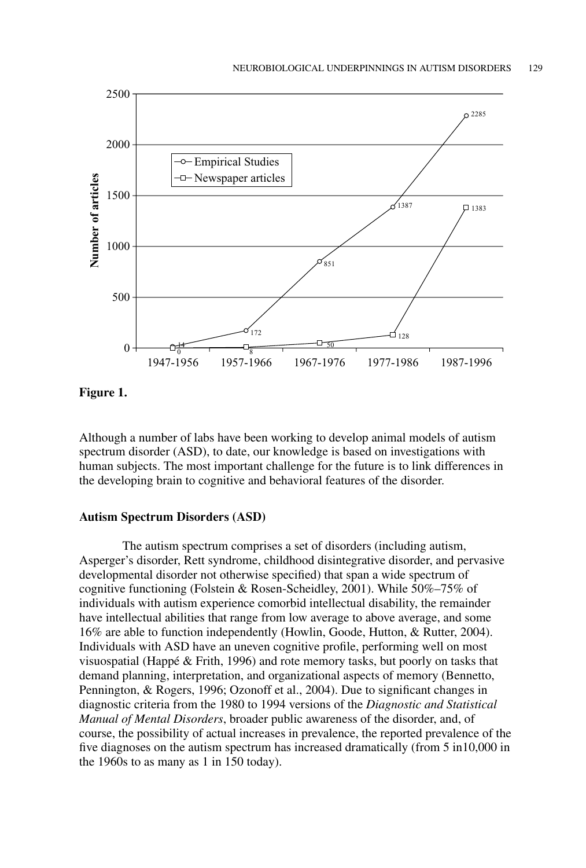

**Figure 1.**

Although a number of labs have been working to develop animal models of autism spectrum disorder (ASD), to date, our knowledge is based on investigations with human subjects. The most important challenge for the future is to link differences in the developing brain to cognitive and behavioral features of the disorder.

### **Autism Spectrum Disorders (ASD)**

The autism spectrum comprises a set of disorders (including autism, Asperger's disorder, Rett syndrome, childhood disintegrative disorder, and pervasive developmental disorder not otherwise specified) that span a wide spectrum of cognitive functioning (Folstein & Rosen-Scheidley, 2001). While 50%–75% of individuals with autism experience comorbid intellectual disability, the remainder have intellectual abilities that range from low average to above average, and some 16% are able to function independently (Howlin, Goode, Hutton, & Rutter, 2004). Individuals with ASD have an uneven cognitive profile, performing well on most visuospatial (Happé  $\&$  Frith, 1996) and rote memory tasks, but poorly on tasks that demand planning, interpretation, and organizational aspects of memory (Bennetto, Pennington, & Rogers, 1996; Ozonoff et al., 2004). Due to significant changes in diagnostic criteria from the 1980 to 1994 versions of the *Diagnostic and Statistical Manual of Mental Disorders*, broader public awareness of the disorder, and, of course, the possibility of actual increases in prevalence, the reported prevalence of the five diagnoses on the autism spectrum has increased dramatically (from 5 in10,000 in the 1960s to as many as 1 in 150 today).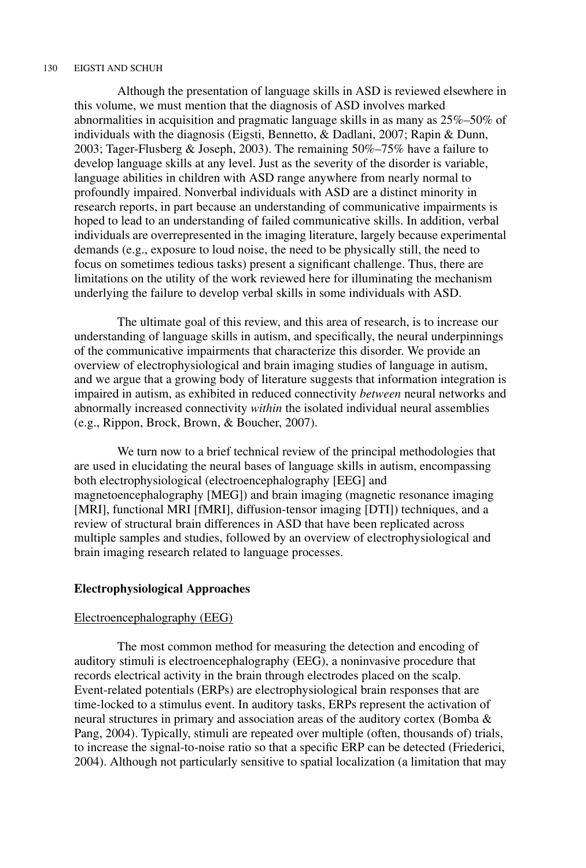Although the presentation of language skills in ASD is reviewed elsewhere in this volume, we must mention that the diagnosis of ASD involves marked abnormalities in acquisition and pragmatic language skills in as many as 25%–50% of individuals with the diagnosis (Eigsti, Bennetto, & Dadlani, 2007; Rapin & Dunn, 2003; Tager-Flusberg & Joseph, 2003). The remaining 50%–75% have a failure to develop language skills at any level. Just as the severity of the disorder is variable, language abilities in children with ASD range anywhere from nearly normal to profoundly impaired. Nonverbal individuals with ASD are a distinct minority in research reports, in part because an understanding of communicative impairments is hoped to lead to an understanding of failed communicative skills. In addition, verbal individuals are overrepresented in the imaging literature, largely because experimental demands (e.g., exposure to loud noise, the need to be physically still, the need to focus on sometimes tedious tasks) present a significant challenge. Thus, there are limitations on the utility of the work reviewed here for illuminating the mechanism underlying the failure to develop verbal skills in some individuals with ASD.

The ultimate goal of this review, and this area of research, is to increase our understanding of language skills in autism, and specifically, the neural underpinnings of the communicative impairments that characterize this disorder. We provide an overview of electrophysiological and brain imaging studies of language in autism, and we argue that a growing body of literature suggests that information integration is impaired in autism, as exhibited in reduced connectivity *between* neural networks and abnormally increased connectivity *within* the isolated individual neural assemblies (e.g., Rippon, Brock, Brown, & Boucher, 2007).

We turn now to a brief technical review of the principal methodologies that are used in elucidating the neural bases of language skills in autism, encompassing both electrophysiological (electroencephalography [EEG] and magnetoencephalography [MEG]) and brain imaging (magnetic resonance imaging [MRI], functional MRI [fMRI], diffusion-tensor imaging [DTI]) techniques, and a review of structural brain differences in ASD that have been replicated across multiple samples and studies, followed by an overview of electrophysiological and brain imaging research related to language processes.

#### **Electrophysiological Approaches**

### Electroencephalography (EEG)

The most common method for measuring the detection and encoding of auditory stimuli is electroencephalography (EEG), a noninvasive procedure that records electrical activity in the brain through electrodes placed on the scalp. Event-related potentials (ERPs) are electrophysiological brain responses that are time-locked to a stimulus event. In auditory tasks, ERPs represent the activation of neural structures in primary and association areas of the auditory cortex (Bomba & Pang, 2004). Typically, stimuli are repeated over multiple (often, thousands of) trials, to increase the signal-to-noise ratio so that a specific ERP can be detected (Friederici, 2004). Although not particularly sensitive to spatial localization (a limitation that may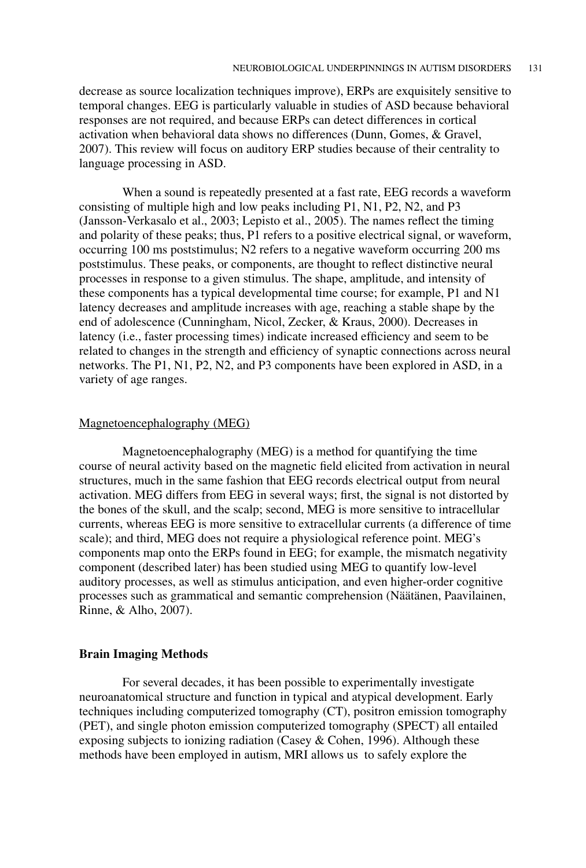decrease as source localization techniques improve), ERPs are exquisitely sensitive to temporal changes. EEG is particularly valuable in studies of ASD because behavioral responses are not required, and because ERPs can detect differences in cortical activation when behavioral data shows no differences (Dunn, Gomes, & Gravel, 2007). This review will focus on auditory ERP studies because of their centrality to language processing in ASD.

When a sound is repeatedly presented at a fast rate, EEG records a waveform consisting of multiple high and low peaks including P1, N1, P2, N2, and P3 (Jansson-Verkasalo et al., 2003; Lepisto et al., 2005). The names reflect the timing and polarity of these peaks; thus, P1 refers to a positive electrical signal, or waveform, occurring 100 ms poststimulus; N2 refers to a negative waveform occurring 200 ms poststimulus. These peaks, or components, are thought to reflect distinctive neural processes in response to a given stimulus. The shape, amplitude, and intensity of these components has a typical developmental time course; for example, P1 and N1 latency decreases and amplitude increases with age, reaching a stable shape by the end of adolescence (Cunningham, Nicol, Zecker, & Kraus, 2000). Decreases in latency (i.e., faster processing times) indicate increased efficiency and seem to be related to changes in the strength and efficiency of synaptic connections across neural networks. The P1, N1, P2, N2, and P3 components have been explored in ASD, in a variety of age ranges.

### Magnetoencephalography (MEG)

Magnetoencephalography (MEG) is a method for quantifying the time course of neural activity based on the magnetic field elicited from activation in neural structures, much in the same fashion that EEG records electrical output from neural activation. MEG differs from EEG in several ways; first, the signal is not distorted by the bones of the skull, and the scalp; second, MEG is more sensitive to intracellular currents, whereas EEG is more sensitive to extracellular currents (a difference of time scale); and third, MEG does not require a physiological reference point. MEG's components map onto the ERPs found in EEG; for example, the mismatch negativity component (described later) has been studied using MEG to quantify low-level auditory processes, as well as stimulus anticipation, and even higher-order cognitive processes such as grammatical and semantic comprehension (Näätänen, Paavilainen, Rinne, & Alho, 2007).

## **Brain Imaging Methods**

For several decades, it has been possible to experimentally investigate neuroanatomical structure and function in typical and atypical development. Early techniques including computerized tomography (CT), positron emission tomography (PET), and single photon emission computerized tomography (SPECT) all entailed exposing subjects to ionizing radiation (Casey & Cohen, 1996). Although these methods have been employed in autism, MRI allows us to safely explore the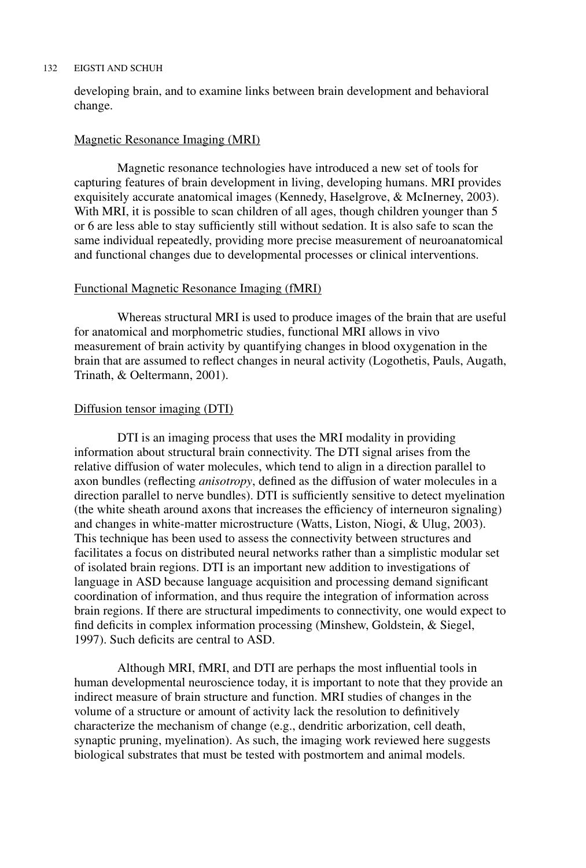developing brain, and to examine links between brain development and behavioral change.

### Magnetic Resonance Imaging (MRI)

Magnetic resonance technologies have introduced a new set of tools for capturing features of brain development in living, developing humans. MRI provides exquisitely accurate anatomical images (Kennedy, Haselgrove, & McInerney, 2003). With MRI, it is possible to scan children of all ages, though children younger than 5 or 6 are less able to stay sufficiently still without sedation. It is also safe to scan the same individual repeatedly, providing more precise measurement of neuroanatomical and functional changes due to developmental processes or clinical interventions.

### Functional Magnetic Resonance Imaging (fMRI)

Whereas structural MRI is used to produce images of the brain that are useful for anatomical and morphometric studies, functional MRI allows in vivo measurement of brain activity by quantifying changes in blood oxygenation in the brain that are assumed to reflect changes in neural activity (Logothetis, Pauls, Augath, Trinath, & Oeltermann, 2001).

### Diffusion tensor imaging (DTI)

DTI is an imaging process that uses the MRI modality in providing information about structural brain connectivity. The DTI signal arises from the relative diffusion of water molecules, which tend to align in a direction parallel to axon bundles (reflecting *anisotropy*, defined as the diffusion of water molecules in a direction parallel to nerve bundles). DTI is sufficiently sensitive to detect myelination (the white sheath around axons that increases the efficiency of interneuron signaling) and changes in white-matter microstructure (Watts, Liston, Niogi, & Ulug, 2003). This technique has been used to assess the connectivity between structures and facilitates a focus on distributed neural networks rather than a simplistic modular set of isolated brain regions. DTI is an important new addition to investigations of language in ASD because language acquisition and processing demand significant coordination of information, and thus require the integration of information across brain regions. If there are structural impediments to connectivity, one would expect to find deficits in complex information processing (Minshew, Goldstein, & Siegel, 1997). Such deficits are central to ASD.

Although MRI, fMRI, and DTI are perhaps the most influential tools in human developmental neuroscience today, it is important to note that they provide an indirect measure of brain structure and function. MRI studies of changes in the volume of a structure or amount of activity lack the resolution to definitively characterize the mechanism of change (e.g., dendritic arborization, cell death, synaptic pruning, myelination). As such, the imaging work reviewed here suggests biological substrates that must be tested with postmortem and animal models.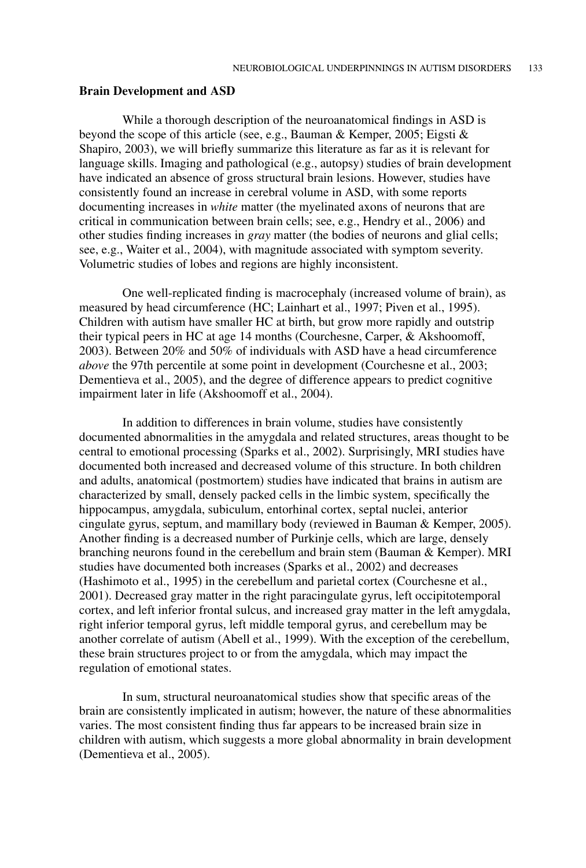#### **Brain Development and ASD**

While a thorough description of the neuroanatomical findings in ASD is beyond the scope of this article (see, e.g., Bauman & Kemper, 2005; Eigsti & Shapiro, 2003), we will briefly summarize this literature as far as it is relevant for language skills. Imaging and pathological (e.g., autopsy) studies of brain development have indicated an absence of gross structural brain lesions. However, studies have consistently found an increase in cerebral volume in ASD, with some reports documenting increases in *white* matter (the myelinated axons of neurons that are critical in communication between brain cells; see, e.g., Hendry et al., 2006) and other studies finding increases in *gray* matter (the bodies of neurons and glial cells; see, e.g., Waiter et al., 2004), with magnitude associated with symptom severity. Volumetric studies of lobes and regions are highly inconsistent.

One well-replicated finding is macrocephaly (increased volume of brain), as measured by head circumference (HC; Lainhart et al., 1997; Piven et al., 1995). Children with autism have smaller HC at birth, but grow more rapidly and outstrip their typical peers in HC at age 14 months (Courchesne, Carper, & Akshoomoff, 2003). Between 20% and 50% of individuals with ASD have a head circumference *above* the 97th percentile at some point in development (Courchesne et al., 2003; Dementieva et al., 2005), and the degree of difference appears to predict cognitive impairment later in life (Akshoomoff et al., 2004).

In addition to differences in brain volume, studies have consistently documented abnormalities in the amygdala and related structures, areas thought to be central to emotional processing (Sparks et al., 2002). Surprisingly, MRI studies have documented both increased and decreased volume of this structure. In both children and adults, anatomical (postmortem) studies have indicated that brains in autism are characterized by small, densely packed cells in the limbic system, specifically the hippocampus, amygdala, subiculum, entorhinal cortex, septal nuclei, anterior cingulate gyrus, septum, and mamillary body (reviewed in Bauman & Kemper, 2005). Another finding is a decreased number of Purkinje cells, which are large, densely branching neurons found in the cerebellum and brain stem (Bauman & Kemper). MRI studies have documented both increases (Sparks et al., 2002) and decreases (Hashimoto et al., 1995) in the cerebellum and parietal cortex (Courchesne et al., 2001). Decreased gray matter in the right paracingulate gyrus, left occipitotemporal cortex, and left inferior frontal sulcus, and increased gray matter in the left amygdala, right inferior temporal gyrus, left middle temporal gyrus, and cerebellum may be another correlate of autism (Abell et al., 1999). With the exception of the cerebellum, these brain structures project to or from the amygdala, which may impact the regulation of emotional states.

In sum, structural neuroanatomical studies show that specific areas of the brain are consistently implicated in autism; however, the nature of these abnormalities varies. The most consistent finding thus far appears to be increased brain size in children with autism, which suggests a more global abnormality in brain development (Dementieva et al., 2005).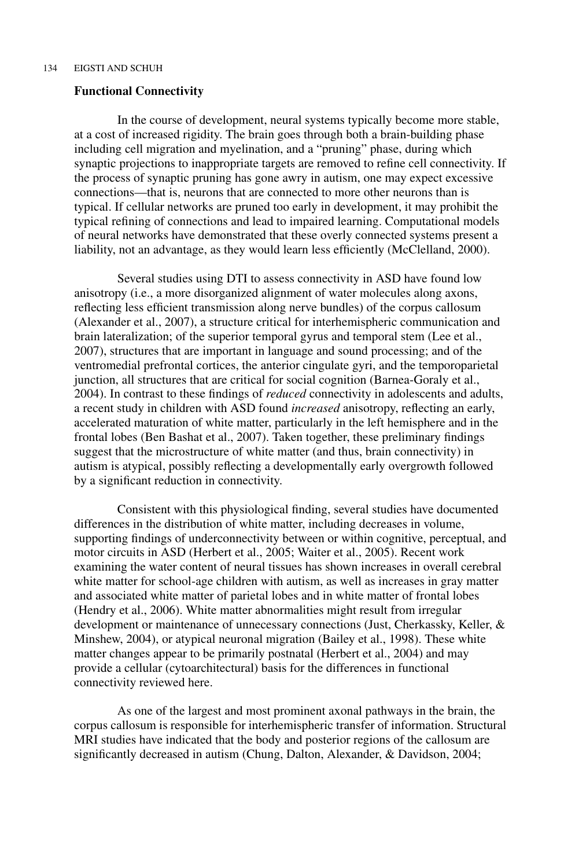#### **Functional Connectivity**

In the course of development, neural systems typically become more stable, at a cost of increased rigidity. The brain goes through both a brain-building phase including cell migration and myelination, and a "pruning" phase, during which synaptic projections to inappropriate targets are removed to refine cell connectivity. If the process of synaptic pruning has gone awry in autism, one may expect excessive connections—that is, neurons that are connected to more other neurons than is typical. If cellular networks are pruned too early in development, it may prohibit the typical refining of connections and lead to impaired learning. Computational models of neural networks have demonstrated that these overly connected systems present a liability, not an advantage, as they would learn less efficiently (McClelland, 2000).

Several studies using DTI to assess connectivity in ASD have found low anisotropy (i.e., a more disorganized alignment of water molecules along axons, reflecting less efficient transmission along nerve bundles) of the corpus callosum (Alexander et al., 2007), a structure critical for interhemispheric communication and brain lateralization; of the superior temporal gyrus and temporal stem (Lee et al., 2007), structures that are important in language and sound processing; and of the ventromedial prefrontal cortices, the anterior cingulate gyri, and the temporoparietal junction, all structures that are critical for social cognition (Barnea-Goraly et al., 2004). In contrast to these findings of *reduced* connectivity in adolescents and adults, a recent study in children with ASD found *increased* anisotropy, reflecting an early, accelerated maturation of white matter, particularly in the left hemisphere and in the frontal lobes (Ben Bashat et al., 2007). Taken together, these preliminary findings suggest that the microstructure of white matter (and thus, brain connectivity) in autism is atypical, possibly reflecting a developmentally early overgrowth followed by a significant reduction in connectivity.

Consistent with this physiological finding, several studies have documented differences in the distribution of white matter, including decreases in volume, supporting findings of underconnectivity between or within cognitive, perceptual, and motor circuits in ASD (Herbert et al., 2005; Waiter et al., 2005). Recent work examining the water content of neural tissues has shown increases in overall cerebral white matter for school-age children with autism, as well as increases in gray matter and associated white matter of parietal lobes and in white matter of frontal lobes (Hendry et al., 2006). White matter abnormalities might result from irregular development or maintenance of unnecessary connections (Just, Cherkassky, Keller, & Minshew, 2004), or atypical neuronal migration (Bailey et al., 1998). These white matter changes appear to be primarily postnatal (Herbert et al., 2004) and may provide a cellular (cytoarchitectural) basis for the differences in functional connectivity reviewed here.

As one of the largest and most prominent axonal pathways in the brain, the corpus callosum is responsible for interhemispheric transfer of information. Structural MRI studies have indicated that the body and posterior regions of the callosum are significantly decreased in autism (Chung, Dalton, Alexander, & Davidson, 2004;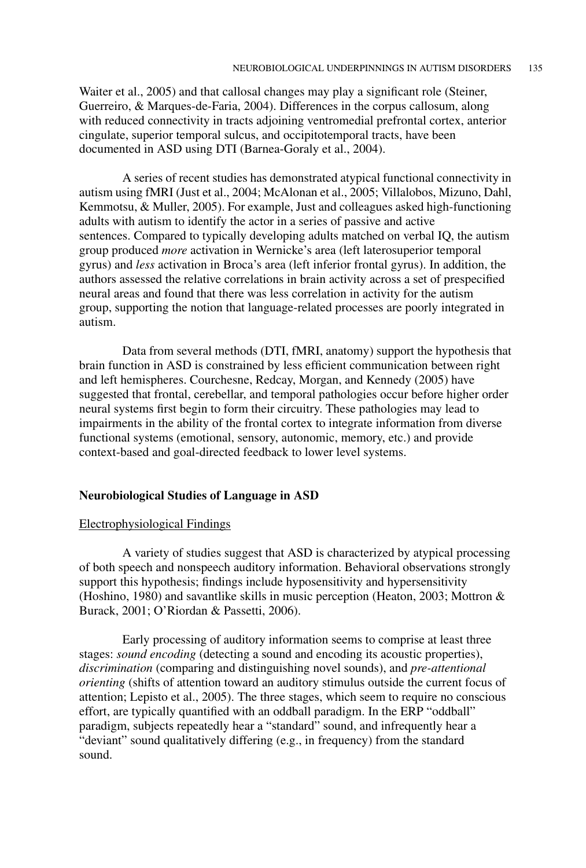Waiter et al., 2005) and that callosal changes may play a significant role (Steiner, Guerreiro, & Marques-de-Faria, 2004). Differences in the corpus callosum, along with reduced connectivity in tracts adjoining ventromedial prefrontal cortex, anterior cingulate, superior temporal sulcus, and occipitotemporal tracts, have been documented in ASD using DTI (Barnea-Goraly et al., 2004).

A series of recent studies has demonstrated atypical functional connectivity in autism using fMRI (Just et al., 2004; McAlonan et al., 2005; Villalobos, Mizuno, Dahl, Kemmotsu, & Muller, 2005). For example, Just and colleagues asked high-functioning adults with autism to identify the actor in a series of passive and active sentences. Compared to typically developing adults matched on verbal IQ, the autism group produced *more* activation in Wernicke's area (left laterosuperior temporal gyrus) and *less* activation in Broca's area (left inferior frontal gyrus). In addition, the authors assessed the relative correlations in brain activity across a set of prespecified neural areas and found that there was less correlation in activity for the autism group, supporting the notion that language-related processes are poorly integrated in autism.

Data from several methods (DTI, fMRI, anatomy) support the hypothesis that brain function in ASD is constrained by less efficient communication between right and left hemispheres. Courchesne, Redcay, Morgan, and Kennedy (2005) have suggested that frontal, cerebellar, and temporal pathologies occur before higher order neural systems first begin to form their circuitry. These pathologies may lead to impairments in the ability of the frontal cortex to integrate information from diverse functional systems (emotional, sensory, autonomic, memory, etc.) and provide context-based and goal-directed feedback to lower level systems.

## **Neurobiological Studies of Language in ASD**

#### Electrophysiological Findings

A variety of studies suggest that ASD is characterized by atypical processing of both speech and nonspeech auditory information. Behavioral observations strongly support this hypothesis; findings include hyposensitivity and hypersensitivity (Hoshino, 1980) and savantlike skills in music perception (Heaton, 2003; Mottron & Burack, 2001; O'Riordan & Passetti, 2006).

Early processing of auditory information seems to comprise at least three stages: *sound encoding* (detecting a sound and encoding its acoustic properties), *discrimination* (comparing and distinguishing novel sounds), and *pre-attentional orienting* (shifts of attention toward an auditory stimulus outside the current focus of attention; Lepisto et al., 2005). The three stages, which seem to require no conscious effort, are typically quantified with an oddball paradigm. In the ERP "oddball" paradigm, subjects repeatedly hear a "standard" sound, and infrequently hear a "deviant" sound qualitatively differing (e.g., in frequency) from the standard sound.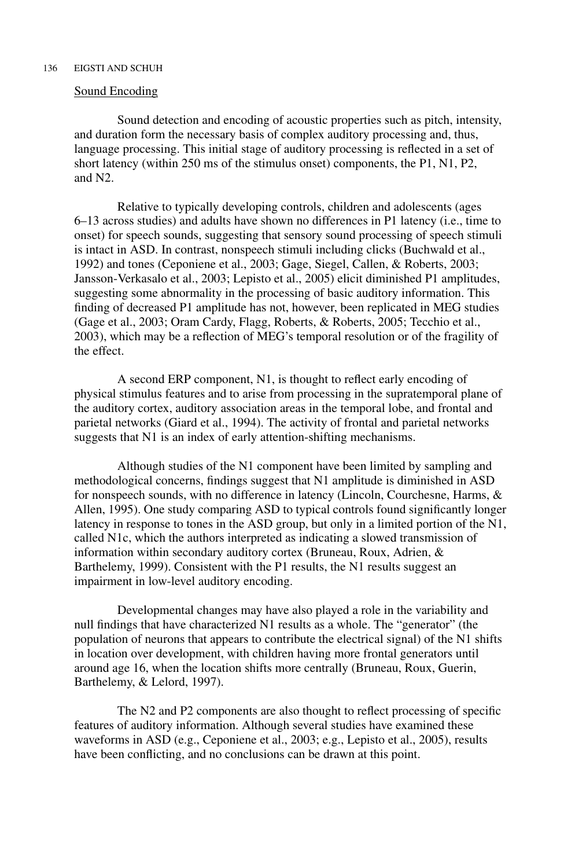### Sound Encoding

Sound detection and encoding of acoustic properties such as pitch, intensity, and duration form the necessary basis of complex auditory processing and, thus, language processing. This initial stage of auditory processing is reflected in a set of short latency (within 250 ms of the stimulus onset) components, the P1, N1, P2, and N2.

Relative to typically developing controls, children and adolescents (ages 6–13 across studies) and adults have shown no differences in P1 latency (i.e., time to onset) for speech sounds, suggesting that sensory sound processing of speech stimuli is intact in ASD. In contrast, nonspeech stimuli including clicks (Buchwald et al., 1992) and tones (Ceponiene et al., 2003; Gage, Siegel, Callen, & Roberts, 2003; Jansson-Verkasalo et al., 2003; Lepisto et al., 2005) elicit diminished P1 amplitudes, suggesting some abnormality in the processing of basic auditory information. This finding of decreased P1 amplitude has not, however, been replicated in MEG studies (Gage et al., 2003; Oram Cardy, Flagg, Roberts, & Roberts, 2005; Tecchio et al., 2003), which may be a reflection of MEG's temporal resolution or of the fragility of the effect.

A second ERP component, N1, is thought to reflect early encoding of physical stimulus features and to arise from processing in the supratemporal plane of the auditory cortex, auditory association areas in the temporal lobe, and frontal and parietal networks (Giard et al., 1994). The activity of frontal and parietal networks suggests that N1 is an index of early attention-shifting mechanisms.

Although studies of the N1 component have been limited by sampling and methodological concerns, findings suggest that N1 amplitude is diminished in ASD for nonspeech sounds, with no difference in latency (Lincoln, Courchesne, Harms, & Allen, 1995). One study comparing ASD to typical controls found significantly longer latency in response to tones in the ASD group, but only in a limited portion of the N1, called N1c, which the authors interpreted as indicating a slowed transmission of information within secondary auditory cortex (Bruneau, Roux, Adrien, & Barthelemy, 1999). Consistent with the P1 results, the N1 results suggest an impairment in low-level auditory encoding.

Developmental changes may have also played a role in the variability and null findings that have characterized N1 results as a whole. The "generator" (the population of neurons that appears to contribute the electrical signal) of the N1 shifts in location over development, with children having more frontal generators until around age 16, when the location shifts more centrally (Bruneau, Roux, Guerin, Barthelemy, & Lelord, 1997).

The N2 and P2 components are also thought to reflect processing of specific features of auditory information. Although several studies have examined these waveforms in ASD (e.g., Ceponiene et al., 2003; e.g., Lepisto et al., 2005), results have been conflicting, and no conclusions can be drawn at this point.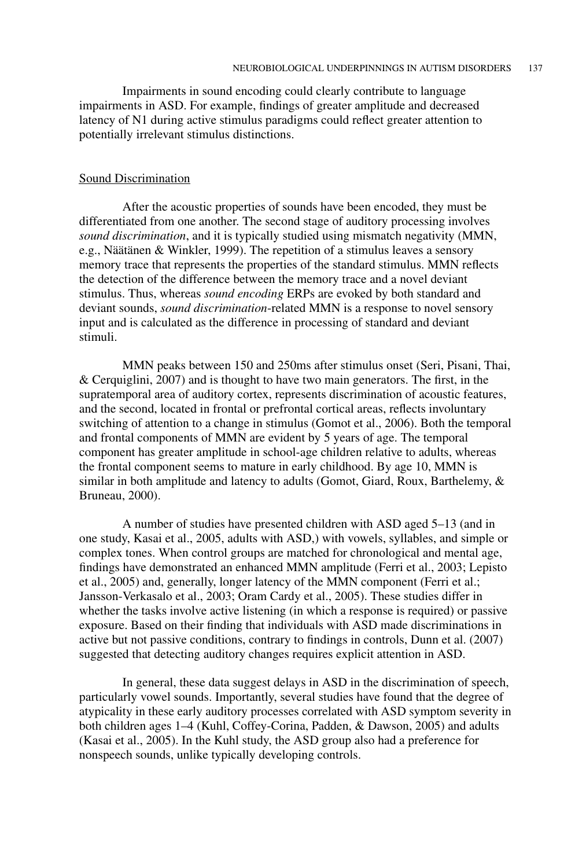Impairments in sound encoding could clearly contribute to language impairments in ASD. For example, findings of greater amplitude and decreased latency of N1 during active stimulus paradigms could reflect greater attention to potentially irrelevant stimulus distinctions.

## Sound Discrimination

After the acoustic properties of sounds have been encoded, they must be differentiated from one another. The second stage of auditory processing involves *sound discrimination*, and it is typically studied using mismatch negativity (MMN, e.g., Näätänen & Winkler, 1999). The repetition of a stimulus leaves a sensory memory trace that represents the properties of the standard stimulus. MMN reflects the detection of the difference between the memory trace and a novel deviant stimulus. Thus, whereas *sound encoding* ERPs are evoked by both standard and deviant sounds, *sound discrimination*-related MMN is a response to novel sensory input and is calculated as the difference in processing of standard and deviant stimuli.

MMN peaks between 150 and 250ms after stimulus onset (Seri, Pisani, Thai, & Cerquiglini, 2007) and is thought to have two main generators. The first, in the supratemporal area of auditory cortex, represents discrimination of acoustic features, and the second, located in frontal or prefrontal cortical areas, reflects involuntary switching of attention to a change in stimulus (Gomot et al., 2006). Both the temporal and frontal components of MMN are evident by 5 years of age. The temporal component has greater amplitude in school-age children relative to adults, whereas the frontal component seems to mature in early childhood. By age 10, MMN is similar in both amplitude and latency to adults (Gomot, Giard, Roux, Barthelemy, & Bruneau, 2000).

A number of studies have presented children with ASD aged 5–13 (and in one study, Kasai et al., 2005, adults with ASD,) with vowels, syllables, and simple or complex tones. When control groups are matched for chronological and mental age, findings have demonstrated an enhanced MMN amplitude (Ferri et al., 2003; Lepisto et al., 2005) and, generally, longer latency of the MMN component (Ferri et al.; Jansson-Verkasalo et al., 2003; Oram Cardy et al., 2005). These studies differ in whether the tasks involve active listening (in which a response is required) or passive exposure. Based on their finding that individuals with ASD made discriminations in active but not passive conditions, contrary to findings in controls, Dunn et al. (2007) suggested that detecting auditory changes requires explicit attention in ASD.

In general, these data suggest delays in ASD in the discrimination of speech, particularly vowel sounds. Importantly, several studies have found that the degree of atypicality in these early auditory processes correlated with ASD symptom severity in both children ages 1–4 (Kuhl, Coffey-Corina, Padden, & Dawson, 2005) and adults (Kasai et al., 2005). In the Kuhl study, the ASD group also had a preference for nonspeech sounds, unlike typically developing controls.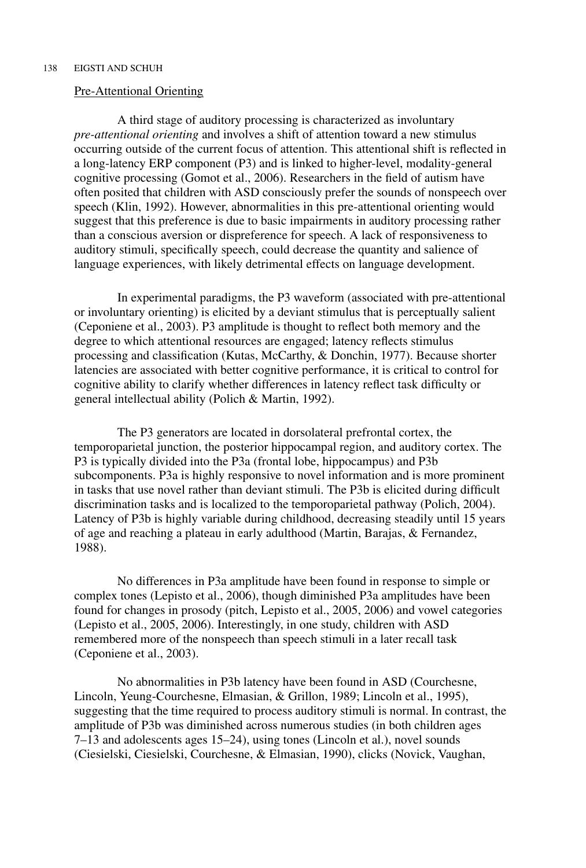#### Pre-Attentional Orienting

A third stage of auditory processing is characterized as involuntary *pre-attentional orienting* and involves a shift of attention toward a new stimulus occurring outside of the current focus of attention. This attentional shift is reflected in a long-latency ERP component (P3) and is linked to higher-level, modality-general cognitive processing (Gomot et al., 2006). Researchers in the field of autism have often posited that children with ASD consciously prefer the sounds of nonspeech over speech (Klin, 1992). However, abnormalities in this pre-attentional orienting would suggest that this preference is due to basic impairments in auditory processing rather than a conscious aversion or dispreference for speech. A lack of responsiveness to auditory stimuli, specifically speech, could decrease the quantity and salience of language experiences, with likely detrimental effects on language development.

In experimental paradigms, the P3 waveform (associated with pre-attentional or involuntary orienting) is elicited by a deviant stimulus that is perceptually salient (Ceponiene et al., 2003). P3 amplitude is thought to reflect both memory and the degree to which attentional resources are engaged; latency reflects stimulus processing and classification (Kutas, McCarthy, & Donchin, 1977). Because shorter latencies are associated with better cognitive performance, it is critical to control for cognitive ability to clarify whether differences in latency reflect task difficulty or general intellectual ability (Polich & Martin, 1992).

The P3 generators are located in dorsolateral prefrontal cortex, the temporoparietal junction, the posterior hippocampal region, and auditory cortex. The P3 is typically divided into the P3a (frontal lobe, hippocampus) and P3b subcomponents. P3a is highly responsive to novel information and is more prominent in tasks that use novel rather than deviant stimuli. The P3b is elicited during difficult discrimination tasks and is localized to the temporoparietal pathway (Polich, 2004). Latency of P3b is highly variable during childhood, decreasing steadily until 15 years of age and reaching a plateau in early adulthood (Martin, Barajas, & Fernandez, 1988).

No differences in P3a amplitude have been found in response to simple or complex tones (Lepisto et al., 2006), though diminished P3a amplitudes have been found for changes in prosody (pitch, Lepisto et al., 2005, 2006) and vowel categories (Lepisto et al., 2005, 2006). Interestingly, in one study, children with ASD remembered more of the nonspeech than speech stimuli in a later recall task (Ceponiene et al., 2003).

No abnormalities in P3b latency have been found in ASD (Courchesne, Lincoln, Yeung-Courchesne, Elmasian, & Grillon, 1989; Lincoln et al., 1995), suggesting that the time required to process auditory stimuli is normal. In contrast, the amplitude of P3b was diminished across numerous studies (in both children ages 7–13 and adolescents ages 15–24), using tones (Lincoln et al.), novel sounds (Ciesielski, Ciesielski, Courchesne, & Elmasian, 1990), clicks (Novick, Vaughan,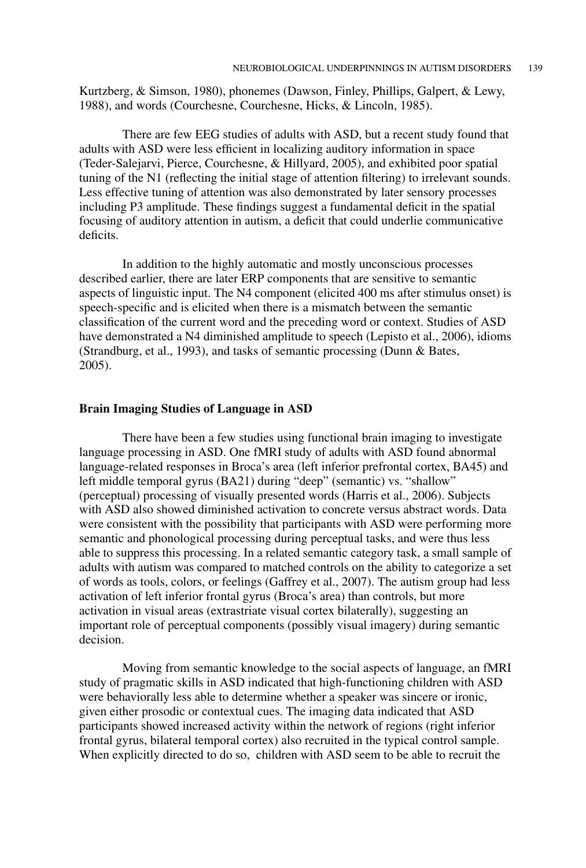Kurtzberg, & Simson, 1980), phonemes (Dawson, Finley, Phillips, Galpert, & Lewy, 1988), and words (Courchesne, Courchesne, Hicks, & Lincoln, 1985).

There are few EEG studies of adults with ASD, but a recent study found that adults with ASD were less efficient in localizing auditory information in space (Teder-Salejarvi, Pierce, Courchesne, & Hillyard, 2005), and exhibited poor spatial tuning of the N1 (reflecting the initial stage of attention filtering) to irrelevant sounds. Less effective tuning of attention was also demonstrated by later sensory processes including P3 amplitude. These findings suggest a fundamental deficit in the spatial focusing of auditory attention in autism, a deficit that could underlie communicative deficits.

In addition to the highly automatic and mostly unconscious processes described earlier, there are later ERP components that are sensitive to semantic aspects of linguistic input. The N4 component (elicited 400 ms after stimulus onset) is speech-specific and is elicited when there is a mismatch between the semantic classification of the current word and the preceding word or context. Studies of ASD have demonstrated a N4 diminished amplitude to speech (Lepisto et al., 2006), idioms (Strandburg, et al., 1993), and tasks of semantic processing (Dunn & Bates, 2005).

### **Brain Imaging Studies of Language in ASD**

There have been a few studies using functional brain imaging to investigate language processing in ASD. One fMRI study of adults with ASD found abnormal language-related responses in Broca's area (left inferior prefrontal cortex, BA45) and left middle temporal gyrus (BA21) during "deep" (semantic) vs. "shallow" (perceptual) processing of visually presented words (Harris et al., 2006). Subjects with ASD also showed diminished activation to concrete versus abstract words. Data were consistent with the possibility that participants with ASD were performing more semantic and phonological processing during perceptual tasks, and were thus less able to suppress this processing. In a related semantic category task, a small sample of adults with autism was compared to matched controls on the ability to categorize a set of words as tools, colors, or feelings (Gaffrey et al., 2007). The autism group had less activation of left inferior frontal gyrus (Broca's area) than controls, but more activation in visual areas (extrastriate visual cortex bilaterally), suggesting an important role of perceptual components (possibly visual imagery) during semantic decision.

Moving from semantic knowledge to the social aspects of language, an fMRI study of pragmatic skills in ASD indicated that high-functioning children with ASD were behaviorally less able to determine whether a speaker was sincere or ironic, given either prosodic or contextual cues. The imaging data indicated that ASD participants showed increased activity within the network of regions (right inferior frontal gyrus, bilateral temporal cortex) also recruited in the typical control sample. When explicitly directed to do so, children with ASD seem to be able to recruit the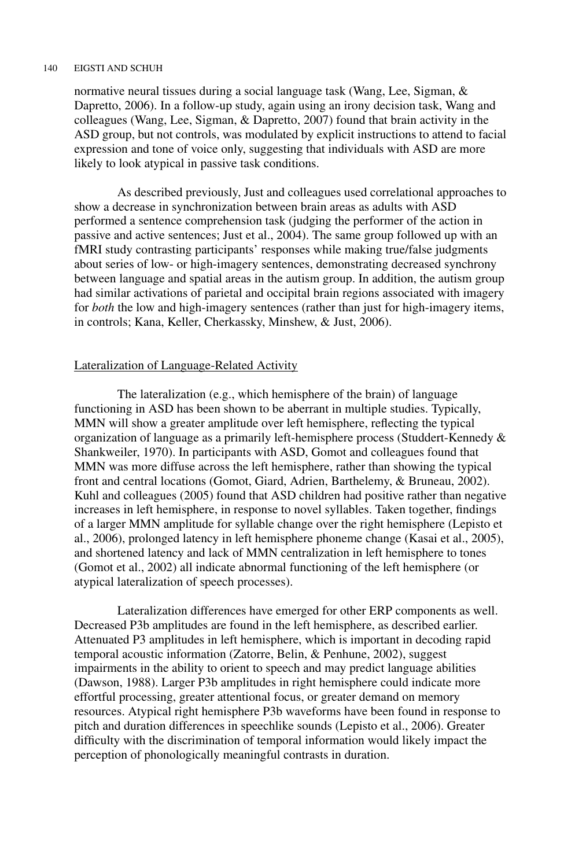normative neural tissues during a social language task (Wang, Lee, Sigman, & Dapretto, 2006). In a follow-up study, again using an irony decision task, Wang and colleagues (Wang, Lee, Sigman, & Dapretto, 2007) found that brain activity in the ASD group, but not controls, was modulated by explicit instructions to attend to facial expression and tone of voice only, suggesting that individuals with ASD are more likely to look atypical in passive task conditions.

As described previously, Just and colleagues used correlational approaches to show a decrease in synchronization between brain areas as adults with ASD performed a sentence comprehension task (judging the performer of the action in passive and active sentences; Just et al., 2004). The same group followed up with an fMRI study contrasting participants' responses while making true/false judgments about series of low- or high-imagery sentences, demonstrating decreased synchrony between language and spatial areas in the autism group. In addition, the autism group had similar activations of parietal and occipital brain regions associated with imagery for *both* the low and high-imagery sentences (rather than just for high-imagery items, in controls; Kana, Keller, Cherkassky, Minshew, & Just, 2006).

### Lateralization of Language-Related Activity

The lateralization (e.g., which hemisphere of the brain) of language functioning in ASD has been shown to be aberrant in multiple studies. Typically, MMN will show a greater amplitude over left hemisphere, reflecting the typical organization of language as a primarily left-hemisphere process (Studdert-Kennedy & Shankweiler, 1970). In participants with ASD, Gomot and colleagues found that MMN was more diffuse across the left hemisphere, rather than showing the typical front and central locations (Gomot, Giard, Adrien, Barthelemy, & Bruneau, 2002). Kuhl and colleagues (2005) found that ASD children had positive rather than negative increases in left hemisphere, in response to novel syllables. Taken together, findings of a larger MMN amplitude for syllable change over the right hemisphere (Lepisto et al., 2006), prolonged latency in left hemisphere phoneme change (Kasai et al., 2005), and shortened latency and lack of MMN centralization in left hemisphere to tones (Gomot et al., 2002) all indicate abnormal functioning of the left hemisphere (or atypical lateralization of speech processes).

Lateralization differences have emerged for other ERP components as well. Decreased P3b amplitudes are found in the left hemisphere, as described earlier. Attenuated P3 amplitudes in left hemisphere, which is important in decoding rapid temporal acoustic information (Zatorre, Belin, & Penhune, 2002), suggest impairments in the ability to orient to speech and may predict language abilities (Dawson, 1988). Larger P3b amplitudes in right hemisphere could indicate more effortful processing, greater attentional focus, or greater demand on memory resources. Atypical right hemisphere P3b waveforms have been found in response to pitch and duration differences in speechlike sounds (Lepisto et al., 2006). Greater difficulty with the discrimination of temporal information would likely impact the perception of phonologically meaningful contrasts in duration.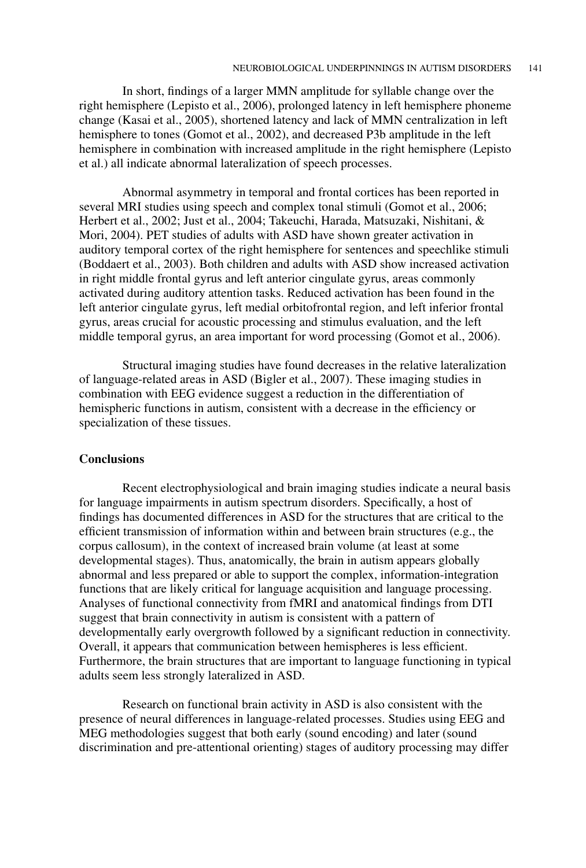In short, findings of a larger MMN amplitude for syllable change over the right hemisphere (Lepisto et al., 2006), prolonged latency in left hemisphere phoneme change (Kasai et al., 2005), shortened latency and lack of MMN centralization in left hemisphere to tones (Gomot et al., 2002), and decreased P3b amplitude in the left hemisphere in combination with increased amplitude in the right hemisphere (Lepisto et al.) all indicate abnormal lateralization of speech processes.

Abnormal asymmetry in temporal and frontal cortices has been reported in several MRI studies using speech and complex tonal stimuli (Gomot et al., 2006; Herbert et al., 2002; Just et al., 2004; Takeuchi, Harada, Matsuzaki, Nishitani, & Mori, 2004). PET studies of adults with ASD have shown greater activation in auditory temporal cortex of the right hemisphere for sentences and speechlike stimuli (Boddaert et al., 2003). Both children and adults with ASD show increased activation in right middle frontal gyrus and left anterior cingulate gyrus, areas commonly activated during auditory attention tasks. Reduced activation has been found in the left anterior cingulate gyrus, left medial orbitofrontal region, and left inferior frontal gyrus, areas crucial for acoustic processing and stimulus evaluation, and the left middle temporal gyrus, an area important for word processing (Gomot et al., 2006).

Structural imaging studies have found decreases in the relative lateralization of language-related areas in ASD (Bigler et al., 2007). These imaging studies in combination with EEG evidence suggest a reduction in the differentiation of hemispheric functions in autism, consistent with a decrease in the efficiency or specialization of these tissues.

### **Conclusions**

Recent electrophysiological and brain imaging studies indicate a neural basis for language impairments in autism spectrum disorders. Specifically, a host of findings has documented differences in ASD for the structures that are critical to the efficient transmission of information within and between brain structures (e.g., the corpus callosum), in the context of increased brain volume (at least at some developmental stages). Thus, anatomically, the brain in autism appears globally abnormal and less prepared or able to support the complex, information-integration functions that are likely critical for language acquisition and language processing. Analyses of functional connectivity from fMRI and anatomical findings from DTI suggest that brain connectivity in autism is consistent with a pattern of developmentally early overgrowth followed by a significant reduction in connectivity. Overall, it appears that communication between hemispheres is less efficient. Furthermore, the brain structures that are important to language functioning in typical adults seem less strongly lateralized in ASD.

Research on functional brain activity in ASD is also consistent with the presence of neural differences in language-related processes. Studies using EEG and MEG methodologies suggest that both early (sound encoding) and later (sound discrimination and pre-attentional orienting) stages of auditory processing may differ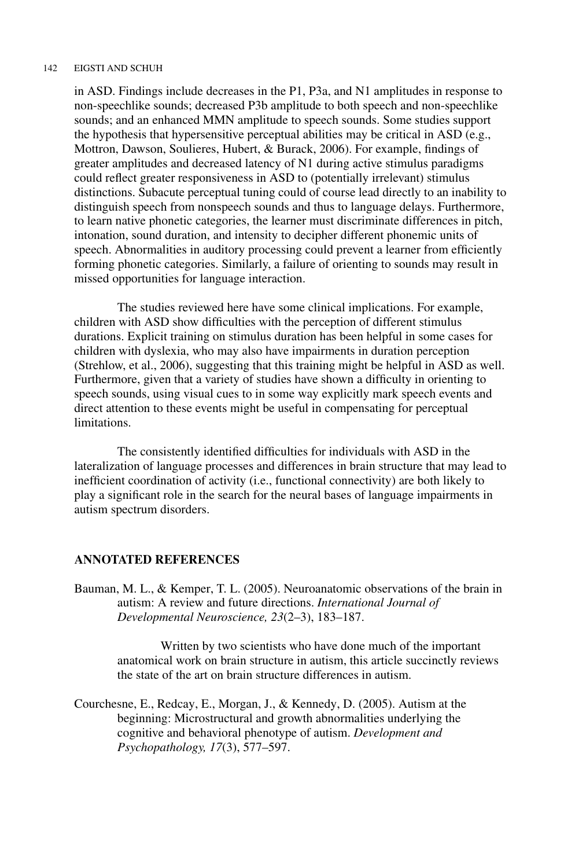in ASD. Findings include decreases in the P1, P3a, and N1 amplitudes in response to non-speechlike sounds; decreased P3b amplitude to both speech and non-speechlike sounds; and an enhanced MMN amplitude to speech sounds. Some studies support the hypothesis that hypersensitive perceptual abilities may be critical in ASD (e.g., Mottron, Dawson, Soulieres, Hubert, & Burack, 2006). For example, findings of greater amplitudes and decreased latency of N1 during active stimulus paradigms could reflect greater responsiveness in ASD to (potentially irrelevant) stimulus distinctions. Subacute perceptual tuning could of course lead directly to an inability to distinguish speech from nonspeech sounds and thus to language delays. Furthermore, to learn native phonetic categories, the learner must discriminate differences in pitch, intonation, sound duration, and intensity to decipher different phonemic units of speech. Abnormalities in auditory processing could prevent a learner from efficiently forming phonetic categories. Similarly, a failure of orienting to sounds may result in missed opportunities for language interaction.

The studies reviewed here have some clinical implications. For example, children with ASD show difficulties with the perception of different stimulus durations. Explicit training on stimulus duration has been helpful in some cases for children with dyslexia, who may also have impairments in duration perception (Strehlow, et al., 2006), suggesting that this training might be helpful in ASD as well. Furthermore, given that a variety of studies have shown a difficulty in orienting to speech sounds, using visual cues to in some way explicitly mark speech events and direct attention to these events might be useful in compensating for perceptual limitations.

The consistently identified difficulties for individuals with ASD in the lateralization of language processes and differences in brain structure that may lead to inefficient coordination of activity (i.e., functional connectivity) are both likely to play a significant role in the search for the neural bases of language impairments in autism spectrum disorders.

# **ANNOTATED REFERENCES**

Bauman, M. L., & Kemper, T. L. (2005). Neuroanatomic observations of the brain in autism: A review and future directions. *International Journal of Developmental Neuroscience, 23*(2–3), 183–187.

Written by two scientists who have done much of the important anatomical work on brain structure in autism, this article succinctly reviews the state of the art on brain structure differences in autism.

Courchesne, E., Redcay, E., Morgan, J., & Kennedy, D. (2005). Autism at the beginning: Microstructural and growth abnormalities underlying the cognitive and behavioral phenotype of autism. *Development and Psychopathology, 17*(3), 577–597.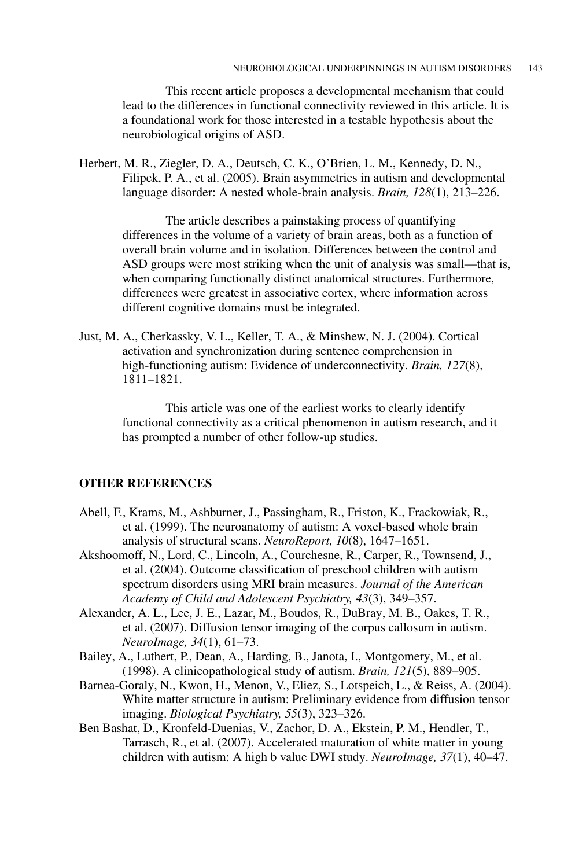This recent article proposes a developmental mechanism that could lead to the differences in functional connectivity reviewed in this article. It is a foundational work for those interested in a testable hypothesis about the neurobiological origins of ASD.

Herbert, M. R., Ziegler, D. A., Deutsch, C. K., O'Brien, L. M., Kennedy, D. N., Filipek, P. A., et al. (2005). Brain asymmetries in autism and developmental language disorder: A nested whole-brain analysis. *Brain, 128*(1), 213–226.

> The article describes a painstaking process of quantifying differences in the volume of a variety of brain areas, both as a function of overall brain volume and in isolation. Differences between the control and ASD groups were most striking when the unit of analysis was small—that is, when comparing functionally distinct anatomical structures. Furthermore, differences were greatest in associative cortex, where information across different cognitive domains must be integrated.

Just, M. A., Cherkassky, V. L., Keller, T. A., & Minshew, N. J. (2004). Cortical activation and synchronization during sentence comprehension in high-functioning autism: Evidence of underconnectivity. *Brain, 127*(8), 1811–1821.

> This article was one of the earliest works to clearly identify functional connectivity as a critical phenomenon in autism research, and it has prompted a number of other follow-up studies.

# **OTHER REFERENCES**

- Abell, F., Krams, M., Ashburner, J., Passingham, R., Friston, K., Frackowiak, R., et al. (1999). The neuroanatomy of autism: A voxel-based whole brain analysis of structural scans. *NeuroReport, 10*(8), 1647–1651.
- Akshoomoff, N., Lord, C., Lincoln, A., Courchesne, R., Carper, R., Townsend, J., et al. (2004). Outcome classification of preschool children with autism spectrum disorders using MRI brain measures. *Journal of the American Academy of Child and Adolescent Psychiatry, 43*(3), 349–357.
- Alexander, A. L., Lee, J. E., Lazar, M., Boudos, R., DuBray, M. B., Oakes, T. R., et al. (2007). Diffusion tensor imaging of the corpus callosum in autism. *NeuroImage, 34*(1), 61–73.
- Bailey, A., Luthert, P., Dean, A., Harding, B., Janota, I., Montgomery, M., et al. (1998). A clinicopathological study of autism. *Brain, 121*(5), 889–905.
- Barnea-Goraly, N., Kwon, H., Menon, V., Eliez, S., Lotspeich, L., & Reiss, A. (2004). White matter structure in autism: Preliminary evidence from diffusion tensor imaging. *Biological Psychiatry, 55*(3), 323–326.
- Ben Bashat, D., Kronfeld-Duenias, V., Zachor, D. A., Ekstein, P. M., Hendler, T., Tarrasch, R., et al. (2007). Accelerated maturation of white matter in young children with autism: A high b value DWI study. *NeuroImage, 37*(1), 40–47.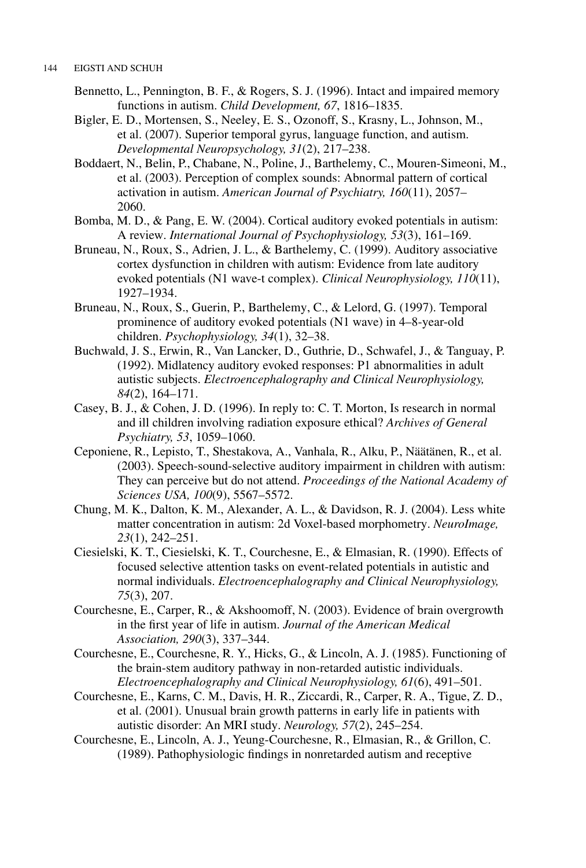- Bennetto, L., Pennington, B. F., & Rogers, S. J. (1996). Intact and impaired memory functions in autism. *Child Development, 67*, 1816–1835.
- Bigler, E. D., Mortensen, S., Neeley, E. S., Ozonoff, S., Krasny, L., Johnson, M., et al. (2007). Superior temporal gyrus, language function, and autism. *Developmental Neuropsychology, 31*(2), 217–238.
- Boddaert, N., Belin, P., Chabane, N., Poline, J., Barthelemy, C., Mouren-Simeoni, M., et al. (2003). Perception of complex sounds: Abnormal pattern of cortical activation in autism. *American Journal of Psychiatry, 160*(11), 2057– 2060.
- Bomba, M. D., & Pang, E. W. (2004). Cortical auditory evoked potentials in autism: A review. *International Journal of Psychophysiology, 53*(3), 161–169.
- Bruneau, N., Roux, S., Adrien, J. L., & Barthelemy, C. (1999). Auditory associative cortex dysfunction in children with autism: Evidence from late auditory evoked potentials (N1 wave-t complex). *Clinical Neurophysiology, 110*(11), 1927–1934.
- Bruneau, N., Roux, S., Guerin, P., Barthelemy, C., & Lelord, G. (1997). Temporal prominence of auditory evoked potentials (N1 wave) in 4–8-year-old children. *Psychophysiology, 34*(1), 32–38.
- Buchwald, J. S., Erwin, R., Van Lancker, D., Guthrie, D., Schwafel, J., & Tanguay, P. (1992). Midlatency auditory evoked responses: P1 abnormalities in adult autistic subjects. *Electroencephalography and Clinical Neurophysiology, 84*(2), 164–171.
- Casey, B. J., & Cohen, J. D. (1996). In reply to: C. T. Morton, Is research in normal and ill children involving radiation exposure ethical? *Archives of General Psychiatry, 53*, 1059–1060.
- Ceponiene, R., Lepisto, T., Shestakova, A., Vanhala, R., Alku, P., Näätänen, R., et al. (2003). Speech-sound-selective auditory impairment in children with autism: They can perceive but do not attend. *Proceedings of the National Academy of Sciences USA, 100*(9), 5567–5572.
- Chung, M. K., Dalton, K. M., Alexander, A. L., & Davidson, R. J. (2004). Less white matter concentration in autism: 2d Voxel-based morphometry. *NeuroImage, 23*(1), 242–251.
- Ciesielski, K. T., Ciesielski, K. T., Courchesne, E., & Elmasian, R. (1990). Effects of focused selective attention tasks on event-related potentials in autistic and normal individuals. *Electroencephalography and Clinical Neurophysiology, 75*(3), 207.
- Courchesne, E., Carper, R., & Akshoomoff, N. (2003). Evidence of brain overgrowth in the first year of life in autism. *Journal of the American Medical Association, 290*(3), 337–344.
- Courchesne, E., Courchesne, R. Y., Hicks, G., & Lincoln, A. J. (1985). Functioning of the brain-stem auditory pathway in non-retarded autistic individuals. *Electroencephalography and Clinical Neurophysiology, 61*(6), 491–501.
- Courchesne, E., Karns, C. M., Davis, H. R., Ziccardi, R., Carper, R. A., Tigue, Z. D., et al. (2001). Unusual brain growth patterns in early life in patients with autistic disorder: An MRI study. *Neurology, 57*(2), 245–254.
- Courchesne, E., Lincoln, A. J., Yeung-Courchesne, R., Elmasian, R., & Grillon, C. (1989). Pathophysiologic findings in nonretarded autism and receptive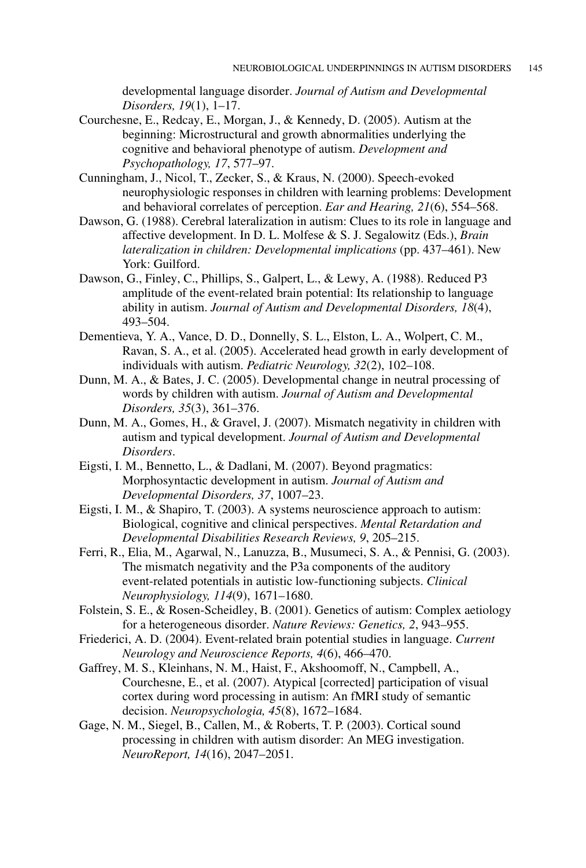developmental language disorder. *Journal of Autism and Developmental Disorders, 19*(1), 1–17.

- Courchesne, E., Redcay, E., Morgan, J., & Kennedy, D. (2005). Autism at the beginning: Microstructural and growth abnormalities underlying the cognitive and behavioral phenotype of autism. *Development and Psychopathology, 17*, 577–97.
- Cunningham, J., Nicol, T., Zecker, S., & Kraus, N. (2000). Speech-evoked neurophysiologic responses in children with learning problems: Development and behavioral correlates of perception. *Ear and Hearing, 21*(6), 554–568.
- Dawson, G. (1988). Cerebral lateralization in autism: Clues to its role in language and affective development. In D. L. Molfese & S. J. Segalowitz (Eds.), *Brain lateralization in children: Developmental implications* (pp. 437–461). New York: Guilford.
- Dawson, G., Finley, C., Phillips, S., Galpert, L., & Lewy, A. (1988). Reduced P3 amplitude of the event-related brain potential: Its relationship to language ability in autism. *Journal of Autism and Developmental Disorders, 18*(4), 493–504.
- Dementieva, Y. A., Vance, D. D., Donnelly, S. L., Elston, L. A., Wolpert, C. M., Ravan, S. A., et al. (2005). Accelerated head growth in early development of individuals with autism. *Pediatric Neurology, 32*(2), 102–108.
- Dunn, M. A., & Bates, J. C. (2005). Developmental change in neutral processing of words by children with autism. *Journal of Autism and Developmental Disorders, 35*(3), 361–376.
- Dunn, M. A., Gomes, H., & Gravel, J. (2007). Mismatch negativity in children with autism and typical development. *Journal of Autism and Developmental Disorders*.
- Eigsti, I. M., Bennetto, L., & Dadlani, M. (2007). Beyond pragmatics: Morphosyntactic development in autism. *Journal of Autism and Developmental Disorders, 37*, 1007–23.
- Eigsti, I. M., & Shapiro, T. (2003). A systems neuroscience approach to autism: Biological, cognitive and clinical perspectives. *Mental Retardation and Developmental Disabilities Research Reviews, 9*, 205–215.
- Ferri, R., Elia, M., Agarwal, N., Lanuzza, B., Musumeci, S. A., & Pennisi, G. (2003). The mismatch negativity and the P3a components of the auditory event-related potentials in autistic low-functioning subjects. *Clinical Neurophysiology, 114*(9), 1671–1680.
- Folstein, S. E., & Rosen-Scheidley, B. (2001). Genetics of autism: Complex aetiology for a heterogeneous disorder. *Nature Reviews: Genetics, 2*, 943–955.
- Friederici, A. D. (2004). Event-related brain potential studies in language. *Current Neurology and Neuroscience Reports, 4*(6), 466–470.
- Gaffrey, M. S., Kleinhans, N. M., Haist, F., Akshoomoff, N., Campbell, A., Courchesne, E., et al. (2007). Atypical [corrected] participation of visual cortex during word processing in autism: An fMRI study of semantic decision. *Neuropsychologia, 45*(8), 1672–1684.
- Gage, N. M., Siegel, B., Callen, M., & Roberts, T. P. (2003). Cortical sound processing in children with autism disorder: An MEG investigation. *NeuroReport, 14*(16), 2047–2051.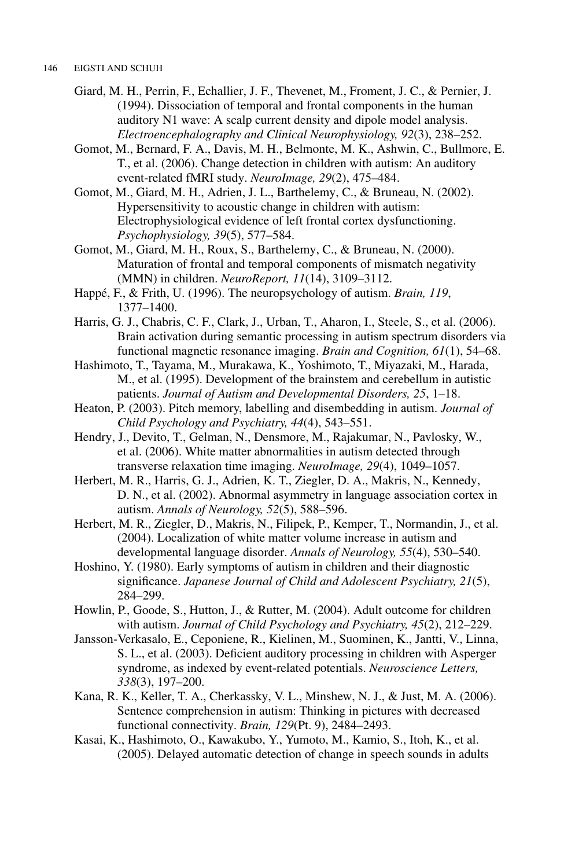- Giard, M. H., Perrin, F., Echallier, J. F., Thevenet, M., Froment, J. C., & Pernier, J. (1994). Dissociation of temporal and frontal components in the human auditory N1 wave: A scalp current density and dipole model analysis. *Electroencephalography and Clinical Neurophysiology, 92*(3), 238–252.
- Gomot, M., Bernard, F. A., Davis, M. H., Belmonte, M. K., Ashwin, C., Bullmore, E. T., et al. (2006). Change detection in children with autism: An auditory event-related fMRI study. *NeuroImage, 29*(2), 475–484.
- Gomot, M., Giard, M. H., Adrien, J. L., Barthelemy, C., & Bruneau, N. (2002). Hypersensitivity to acoustic change in children with autism: Electrophysiological evidence of left frontal cortex dysfunctioning. *Psychophysiology, 39*(5), 577–584.
- Gomot, M., Giard, M. H., Roux, S., Barthelemy, C., & Bruneau, N. (2000). Maturation of frontal and temporal components of mismatch negativity (MMN) in children. *NeuroReport, 11*(14), 3109–3112.
- Happé, F., & Frith, U. (1996). The neuropsychology of autism. *Brain*, 119, 1377–1400.
- Harris, G. J., Chabris, C. F., Clark, J., Urban, T., Aharon, I., Steele, S., et al. (2006). Brain activation during semantic processing in autism spectrum disorders via functional magnetic resonance imaging. *Brain and Cognition, 61*(1), 54–68.
- Hashimoto, T., Tayama, M., Murakawa, K., Yoshimoto, T., Miyazaki, M., Harada, M., et al. (1995). Development of the brainstem and cerebellum in autistic patients. *Journal of Autism and Developmental Disorders, 25*, 1–18.
- Heaton, P. (2003). Pitch memory, labelling and disembedding in autism. *Journal of Child Psychology and Psychiatry, 44*(4), 543–551.
- Hendry, J., Devito, T., Gelman, N., Densmore, M., Rajakumar, N., Pavlosky, W., et al. (2006). White matter abnormalities in autism detected through transverse relaxation time imaging. *NeuroImage, 29*(4), 1049–1057.
- Herbert, M. R., Harris, G. J., Adrien, K. T., Ziegler, D. A., Makris, N., Kennedy, D. N., et al. (2002). Abnormal asymmetry in language association cortex in autism. *Annals of Neurology, 52*(5), 588–596.
- Herbert, M. R., Ziegler, D., Makris, N., Filipek, P., Kemper, T., Normandin, J., et al. (2004). Localization of white matter volume increase in autism and developmental language disorder. *Annals of Neurology, 55*(4), 530–540.
- Hoshino, Y. (1980). Early symptoms of autism in children and their diagnostic significance. *Japanese Journal of Child and Adolescent Psychiatry, 21*(5), 284–299.
- Howlin, P., Goode, S., Hutton, J., & Rutter, M. (2004). Adult outcome for children with autism. *Journal of Child Psychology and Psychiatry, 45*(2), 212–229.
- Jansson-Verkasalo, E., Ceponiene, R., Kielinen, M., Suominen, K., Jantti, V., Linna, S. L., et al. (2003). Deficient auditory processing in children with Asperger syndrome, as indexed by event-related potentials. *Neuroscience Letters, 338*(3), 197–200.
- Kana, R. K., Keller, T. A., Cherkassky, V. L., Minshew, N. J., & Just, M. A. (2006). Sentence comprehension in autism: Thinking in pictures with decreased functional connectivity. *Brain, 129*(Pt. 9), 2484–2493.
- Kasai, K., Hashimoto, O., Kawakubo, Y., Yumoto, M., Kamio, S., Itoh, K., et al. (2005). Delayed automatic detection of change in speech sounds in adults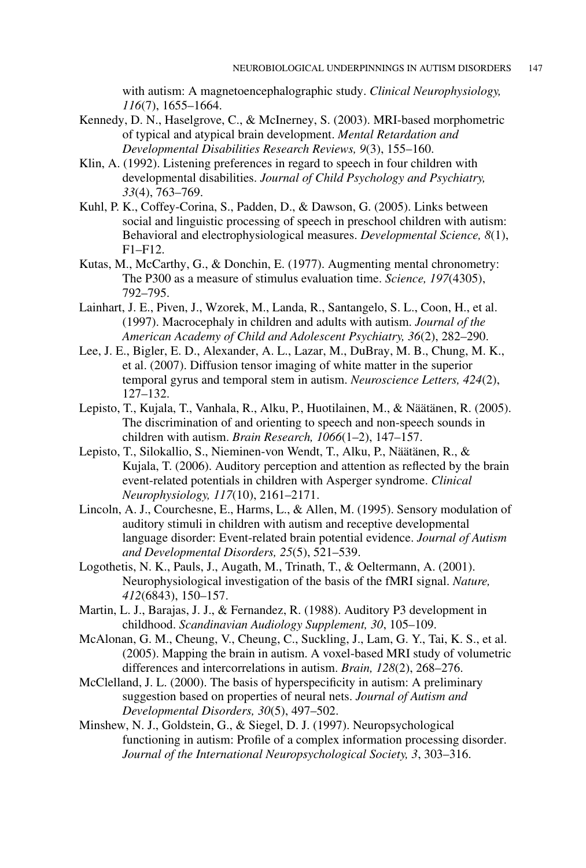with autism: A magnetoencephalographic study. *Clinical Neurophysiology, 116*(7), 1655–1664.

- Kennedy, D. N., Haselgrove, C., & McInerney, S. (2003). MRI-based morphometric of typical and atypical brain development. *Mental Retardation and Developmental Disabilities Research Reviews, 9*(3), 155–160.
- Klin, A. (1992). Listening preferences in regard to speech in four children with developmental disabilities. *Journal of Child Psychology and Psychiatry, 33*(4), 763–769.
- Kuhl, P. K., Coffey-Corina, S., Padden, D., & Dawson, G. (2005). Links between social and linguistic processing of speech in preschool children with autism: Behavioral and electrophysiological measures. *Developmental Science, 8*(1), F1–F12.
- Kutas, M., McCarthy, G., & Donchin, E. (1977). Augmenting mental chronometry: The P300 as a measure of stimulus evaluation time. *Science, 197*(4305), 792–795.
- Lainhart, J. E., Piven, J., Wzorek, M., Landa, R., Santangelo, S. L., Coon, H., et al. (1997). Macrocephaly in children and adults with autism. *Journal of the American Academy of Child and Adolescent Psychiatry, 36*(2), 282–290.
- Lee, J. E., Bigler, E. D., Alexander, A. L., Lazar, M., DuBray, M. B., Chung, M. K., et al. (2007). Diffusion tensor imaging of white matter in the superior temporal gyrus and temporal stem in autism. *Neuroscience Letters, 424*(2), 127–132.
- Lepisto, T., Kujala, T., Vanhala, R., Alku, P., Huotilainen, M., & Näätänen, R. (2005). The discrimination of and orienting to speech and non-speech sounds in children with autism. *Brain Research, 1066*(1–2), 147–157.
- Lepisto, T., Silokallio, S., Nieminen-von Wendt, T., Alku, P., Näätänen, R., & Kujala, T. (2006). Auditory perception and attention as reflected by the brain event-related potentials in children with Asperger syndrome. *Clinical Neurophysiology, 117*(10), 2161–2171.
- Lincoln, A. J., Courchesne, E., Harms, L., & Allen, M. (1995). Sensory modulation of auditory stimuli in children with autism and receptive developmental language disorder: Event-related brain potential evidence. *Journal of Autism and Developmental Disorders, 25*(5), 521–539.
- Logothetis, N. K., Pauls, J., Augath, M., Trinath, T., & Oeltermann, A. (2001). Neurophysiological investigation of the basis of the fMRI signal. *Nature, 412*(6843), 150–157.
- Martin, L. J., Barajas, J. J., & Fernandez, R. (1988). Auditory P3 development in childhood. *Scandinavian Audiology Supplement, 30*, 105–109.
- McAlonan, G. M., Cheung, V., Cheung, C., Suckling, J., Lam, G. Y., Tai, K. S., et al. (2005). Mapping the brain in autism. A voxel-based MRI study of volumetric differences and intercorrelations in autism. *Brain, 128*(2), 268–276.
- McClelland, J. L. (2000). The basis of hyperspecificity in autism: A preliminary suggestion based on properties of neural nets. *Journal of Autism and Developmental Disorders, 30*(5), 497–502.
- Minshew, N. J., Goldstein, G., & Siegel, D. J. (1997). Neuropsychological functioning in autism: Profile of a complex information processing disorder. *Journal of the International Neuropsychological Society, 3*, 303–316.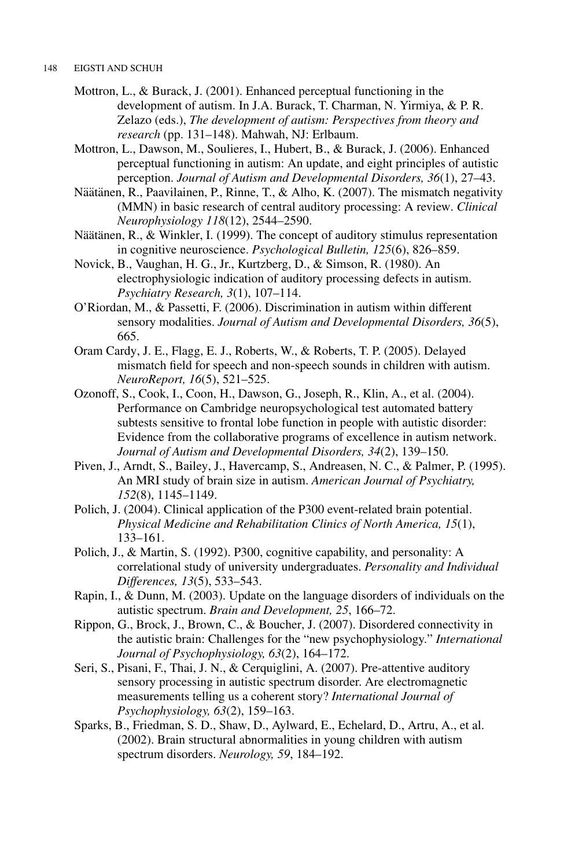- Mottron, L., & Burack, J. (2001). Enhanced perceptual functioning in the development of autism. In J.A. Burack, T. Charman, N. Yirmiya, & P. R. Zelazo (eds.), *The development of autism: Perspectives from theory and research* (pp. 131–148). Mahwah, NJ: Erlbaum.
- Mottron, L., Dawson, M., Soulieres, I., Hubert, B., & Burack, J. (2006). Enhanced perceptual functioning in autism: An update, and eight principles of autistic perception. *Journal of Autism and Developmental Disorders, 36*(1), 27–43.
- Näätänen, R., Paavilainen, P., Rinne, T., & Alho, K. (2007). The mismatch negativity (MMN) in basic research of central auditory processing: A review. *Clinical Neurophysiology 118*(12), 2544–2590.
- Näätänen, R., & Winkler, I. (1999). The concept of auditory stimulus representation in cognitive neuroscience. *Psychological Bulletin, 125*(6), 826–859.
- Novick, B., Vaughan, H. G., Jr., Kurtzberg, D., & Simson, R. (1980). An electrophysiologic indication of auditory processing defects in autism. *Psychiatry Research, 3*(1), 107–114.
- O'Riordan, M., & Passetti, F. (2006). Discrimination in autism within different sensory modalities. *Journal of Autism and Developmental Disorders, 36*(5), 665.
- Oram Cardy, J. E., Flagg, E. J., Roberts, W., & Roberts, T. P. (2005). Delayed mismatch field for speech and non-speech sounds in children with autism. *NeuroReport, 16*(5), 521–525.
- Ozonoff, S., Cook, I., Coon, H., Dawson, G., Joseph, R., Klin, A., et al. (2004). Performance on Cambridge neuropsychological test automated battery subtests sensitive to frontal lobe function in people with autistic disorder: Evidence from the collaborative programs of excellence in autism network. *Journal of Autism and Developmental Disorders, 34*(2), 139–150.
- Piven, J., Arndt, S., Bailey, J., Havercamp, S., Andreasen, N. C., & Palmer, P. (1995). An MRI study of brain size in autism. *American Journal of Psychiatry, 152*(8), 1145–1149.
- Polich, J. (2004). Clinical application of the P300 event-related brain potential. *Physical Medicine and Rehabilitation Clinics of North America, 15*(1), 133–161.
- Polich, J., & Martin, S. (1992). P300, cognitive capability, and personality: A correlational study of university undergraduates. *Personality and Individual Differences, 13*(5), 533–543.
- Rapin, I., & Dunn, M. (2003). Update on the language disorders of individuals on the autistic spectrum. *Brain and Development, 25*, 166–72.
- Rippon, G., Brock, J., Brown, C., & Boucher, J. (2007). Disordered connectivity in the autistic brain: Challenges for the "new psychophysiology." *International Journal of Psychophysiology, 63*(2), 164–172.
- Seri, S., Pisani, F., Thai, J. N., & Cerquiglini, A. (2007). Pre-attentive auditory sensory processing in autistic spectrum disorder. Are electromagnetic measurements telling us a coherent story? *International Journal of Psychophysiology, 63*(2), 159–163.
- Sparks, B., Friedman, S. D., Shaw, D., Aylward, E., Echelard, D., Artru, A., et al. (2002). Brain structural abnormalities in young children with autism spectrum disorders. *Neurology, 59*, 184–192.